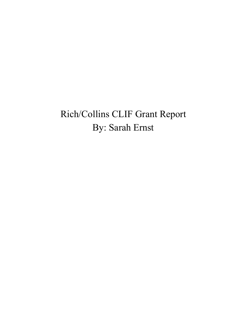# Rich/Collins CLIF Grant Report By: Sarah Ernst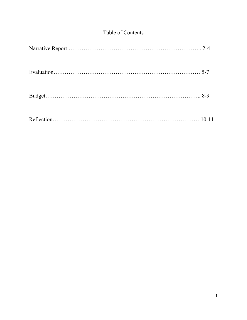## Table of Contents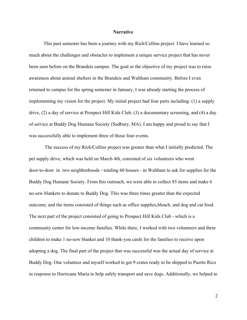#### **Narrative**

This past semester has been a journey with my Rich/Collins project. I have learned so much about the challenges and obstacles to implement a unique service project that has never been seen before on the Brandeis campus. The goal or the objective of my project was to raise awareness about animal shelters in the Brandeis and Waltham community. Before I even returned to campus for the spring semester in January, I was already starting the process of implementing my vision for the project. My initial project had four parts including: (1) a supply drive, (2) a day of service at Prospect Hill Kids Club, (3) a documentary screening, and (4) a day of service at Buddy Dog Humane Society (Sudbury, MA). I am happy and proud to say that I was successfully able to implement three of those four events.

 The success of my Rich/Collins project was greater than what I initially predicted. The pet supply drive, which was held on March 4th, consisted of six volunteers who went door-to-door in two neighborhoods - totaling 60 houses - in Waltham to ask for supplies for the Buddy Dog Humane Society. From this outreach, we were able to collect 85 items and make 6 no-sew blankets to donate to Buddy Dog. This was three times greater than the expected outcome, and the items consisted of things such as office supplies,bleach, and dog and cat food. The next part of the project consisted of going to Prospect Hill Kids Club - which is a community center for low-income families. While there, I worked with two volunteers and three children to make 1 no-sew blanket and 10 thank-you cards for the families to receive upon adopting a dog. The final part of the project that was successful was the actual day of service at Buddy Dog. One volunteer and myself worked to get 9 crates ready to be shipped to Puerto Rico in response to Hurricane Maria to help safely transport and save dogs. Additionally, we helped to

2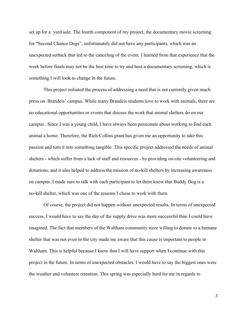set up for a yard sale. The fourth component of my project, the documentary movie screening for "Second Chance Dogs", unfortunately did not have any participants, which was an unexpected setback that led to the canceling of the event. I learned from that experience that the week before finals may not be the best time to try and host a documentary screening, which is something I will look to change in the future.

This project initiated the process of addressing a need that is not currently given much press on Brandeis' campus. While many Brandeis students love to work with animals, there are no educational opportunities or events that discuss the work that animal shelters do on our campus . Since I was a young child, I have always been passionate about working to find each animal a home. Therefore, the Rich/Collins grant has given me an opportunity to take this passion and turn it into something tangible. This specific project addressed the needs of animal shelters - which suffer from a lack of staff and resources - by providing on-site volunteering and donations, and it also helped to address the mission of no-kill shelters by increasing awareness on campus. I made sure to talk with each participant to let them know that Buddy Dog is a no-kill shelter, which was one of the reasons I chose to work with them.

Of course, the project did not happen without unexpected results. In terms of unexpected success, I would have to say the day of the supply drive was more successful than I could have imagined. The fact that members of the Waltham community were willing to donate to a humane shelter that was not even in the city made me aware that this cause is important to people in Waltham. This is helpful because I know that I will have support when I continue with this project in the future. In terms of unexpected obstacles, I would have to say the biggest ones were the weather and volunteer retention. This spring was especially hard for me in regards to

3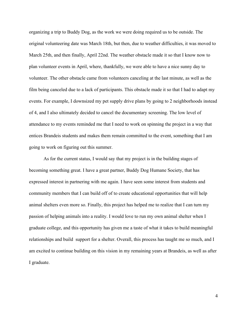organizing a trip to Buddy Dog, as the work we were doing required us to be outside. The original volunteering date was March 18th, but then, due to weather difficulties, it was moved to March 25th, and then finally, April 22nd. The weather obstacle made it so that I know now to plan volunteer events in April, where, thankfully, we were able to have a nice sunny day to volunteer. The other obstacle came from volunteers canceling at the last minute, as well as the film being canceled due to a lack of participants. This obstacle made it so that I had to adapt my events. For example, I downsized my pet supply drive plans by going to 2 neighborhoods instead of 4, and I also ultimately decided to cancel the documentary screening. The low level of attendance to my events reminded me that I need to work on spinning the project in a way that entices Brandeis students and makes them remain committed to the event, something that I am going to work on figuring out this summer.

As for the current status, I would say that my project is in the building stages of becoming something great. I have a great partner, Buddy Dog Humane Society, that has expressed interest in partnering with me again. I have seen some interest from students and community members that I can build off of to create educational opportunities that will help animal shelters even more so. Finally, this project has helped me to realize that I can turn my passion of helping animals into a reality. I would love to run my own animal shelter when I graduate college, and this opportunity has given me a taste of what it takes to build meaningful relationships and build support for a shelter. Overall, this process has taught me so much, and I am excited to continue building on this vision in my remaining years at Brandeis, as well as after I graduate.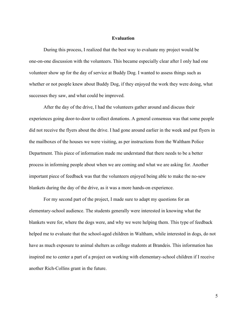#### **Evaluation**

During this process, I realized that the best way to evaluate my project would be one-on-one discussion with the volunteers. This became especially clear after I only had one volunteer show up for the day of service at Buddy Dog. I wanted to assess things such as whether or not people knew about Buddy Dog, if they enjoyed the work they were doing, what successes they saw, and what could be improved.

After the day of the drive, I had the volunteers gather around and discuss their experiences going door-to-door to collect donations. A general consensus was that some people did not receive the flyers about the drive. I had gone around earlier in the week and put flyers in the mailboxes of the houses we were visiting, as per instructions from the Waltham Police Department. This piece of information made me understand that there needs to be a better process in informing people about when we are coming and what we are asking for. Another important piece of feedback was that the volunteers enjoyed being able to make the no-sew blankets during the day of the drive, as it was a more hands-on experience.

For my second part of the project, I made sure to adapt my questions for an elementary-school audience. The students generally were interested in knowing what the blankets were for, where the dogs were, and why we were helping them. This type of feedback helped me to evaluate that the school-aged children in Waltham, while interested in dogs, do not have as much exposure to animal shelters as college students at Brandeis. This information has inspired me to center a part of a project on working with elementary-school children if I receive another Rich-Collins grant in the future.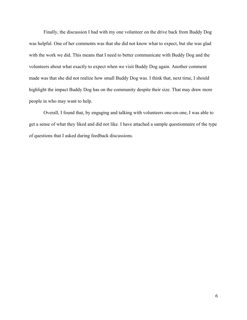Finally, the discussion I had with my one volunteer on the drive back from Buddy Dog was helpful. One of her comments was that she did not know what to expect, but she was glad with the work we did. This means that I need to better communicate with Buddy Dog and the volunteers about what exactly to expect when we visit Buddy Dog again. Another comment made was that she did not realize how small Buddy Dog was. I think that, next time, I should highlight the impact Buddy Dog has on the community despite their size. That may draw more people in who may want to help.

Overall, I found that, by engaging and talking with volunteers one-on-one, I was able to get a sense of what they liked and did not like. I have attached a sample questionnaire of the type of questions that I asked during feedback discussions.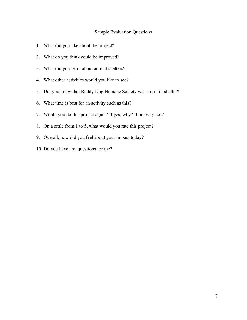### Sample Evaluation Questions

- 1. What did you like about the project?
- 2. What do you think could be improved?
- 3. What did you learn about animal shelters?
- 4. What other activities would you like to see?
- 5. Did you know that Buddy Dog Humane Society was a no-kill shelter?
- 6. What time is best for an activity such as this?
- 7. Would you do this project again? If yes, why? If no, why not?
- 8. On a scale from 1 to 5, what would you rate this project?
- 9. Overall, how did you feel about your impact today?
- 10. Do you have any questions for me?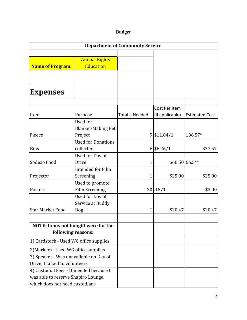## **Budget**

| <b>Department of Community Service</b> |                                          |                |                 |                       |  |  |  |
|----------------------------------------|------------------------------------------|----------------|-----------------|-----------------------|--|--|--|
|                                        |                                          |                |                 |                       |  |  |  |
|                                        | <b>Animal Rights</b>                     |                |                 |                       |  |  |  |
| <b>Name of Program:</b>                | <b>Education</b>                         |                |                 |                       |  |  |  |
|                                        |                                          |                |                 |                       |  |  |  |
|                                        |                                          |                |                 |                       |  |  |  |
|                                        |                                          |                |                 |                       |  |  |  |
| <b>Expenses</b>                        |                                          |                |                 |                       |  |  |  |
|                                        |                                          |                |                 |                       |  |  |  |
|                                        |                                          |                | Cost Per Item   |                       |  |  |  |
| Item                                   | Purpose                                  | Total # Needed | (if applicable) | <b>Estimated Cost</b> |  |  |  |
|                                        | Used for                                 |                |                 |                       |  |  |  |
|                                        | <b>Blanket-Making Pet</b>                |                |                 |                       |  |  |  |
| Fleece                                 | Project                                  |                | 9 \$11.84/1     | 106.57*               |  |  |  |
|                                        | <b>Used for Donations</b>                |                |                 |                       |  |  |  |
| <b>Bins</b>                            | collected                                |                | 6 \$6.26/1      | \$37.57               |  |  |  |
|                                        | Used for Day of                          |                |                 |                       |  |  |  |
| Sodexo Food                            | Drive                                    | 1              | $$66.50 66.5**$ |                       |  |  |  |
|                                        | <b>Intended for Film</b>                 |                | \$25.00         | \$25.00               |  |  |  |
| Projector                              | Screening                                | 1              |                 |                       |  |  |  |
| Posters                                | Used to promote<br><b>Film Screening</b> |                | 20 .15/1        | \$3.00                |  |  |  |
|                                        | Used for Day of                          |                |                 |                       |  |  |  |
|                                        | Service at Buddy                         |                |                 |                       |  |  |  |
| <b>Star Market Food</b>                | Dog                                      | 1              | \$20.47         | \$20.47               |  |  |  |
|                                        |                                          |                |                 |                       |  |  |  |
| NOTE: Items not bought were for the    |                                          |                |                 |                       |  |  |  |
| following reasons:                     |                                          |                |                 |                       |  |  |  |
|                                        |                                          |                |                 |                       |  |  |  |
| 1) Cardstock - Used WG office supplies |                                          |                |                 |                       |  |  |  |
| 2) Markers - Used WG office supplies   |                                          |                |                 |                       |  |  |  |
| 3) Speaker - Was unavailable on Day of |                                          |                |                 |                       |  |  |  |
| Drive; I talked to volunteers          |                                          |                |                 |                       |  |  |  |
| 4) Custodial Fees - Unneeded because I |                                          |                |                 |                       |  |  |  |
| was able to reserve Shapiro Lounge,    |                                          |                |                 |                       |  |  |  |
| which does not need custodians         |                                          |                |                 |                       |  |  |  |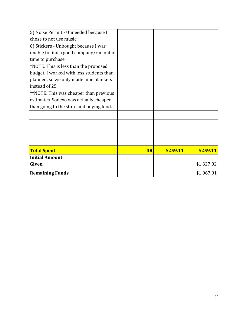| 5) Noise Permit - Unneeded because I     |  |    |          |            |
|------------------------------------------|--|----|----------|------------|
| chose to not use music                   |  |    |          |            |
| 6) Stickers - Unbought because I was     |  |    |          |            |
| unable to find a good company/ran out of |  |    |          |            |
| time to purchase                         |  |    |          |            |
| *NOTE: This is less than the proposed    |  |    |          |            |
| budget. I worked with less students than |  |    |          |            |
| planned, so we only made nine blankets   |  |    |          |            |
| instead of 25                            |  |    |          |            |
| **NOTE: This was cheaper than previous   |  |    |          |            |
| estimates. Sodexo was actually cheaper   |  |    |          |            |
| than going to the store and buying food. |  |    |          |            |
|                                          |  |    |          |            |
|                                          |  |    |          |            |
|                                          |  |    |          |            |
|                                          |  |    |          |            |
|                                          |  |    |          |            |
| <b>Total Spent</b>                       |  | 38 | \$259.11 | \$259.11   |
| <b>Initial Amount</b>                    |  |    |          |            |
| Given                                    |  |    |          | \$1,327.02 |
| <b>Remaining Funds</b>                   |  |    |          | \$1,067.91 |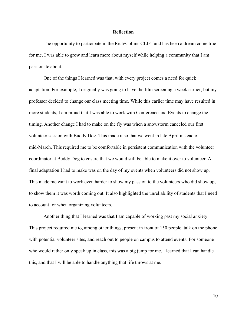#### **Reflection**

The opportunity to participate in the Rich/Collins CLIF fund has been a dream come true for me. I was able to grow and learn more about myself while helping a community that I am passionate about.

One of the things I learned was that, with every project comes a need for quick adaptation. For example, I originally was going to have the film screening a week earlier, but my professor decided to change our class meeting time. While this earlier time may have resulted in more students, I am proud that I was able to work with Conference and Events to change the timing. Another change I had to make on the fly was when a snowstorm canceled our first volunteer session with Buddy Dog. This made it so that we went in late April instead of mid-March. This required me to be comfortable in persistent communication with the volunteer coordinator at Buddy Dog to ensure that we would still be able to make it over to volunteer. A final adaptation I had to make was on the day of my events when volunteers did not show up. This made me want to work even harder to show my passion to the volunteers who did show up, to show them it was worth coming out. It also highlighted the unreliability of students that I need to account for when organizing volunteers.

Another thing that I learned was that I am capable of working past my social anxiety. This project required me to, among other things, present in front of 150 people, talk on the phone with potential volunteer sites, and reach out to people on campus to attend events. For someone who would rather only speak up in class, this was a big jump for me. I learned that I can handle this, and that I will be able to handle anything that life throws at me.

10